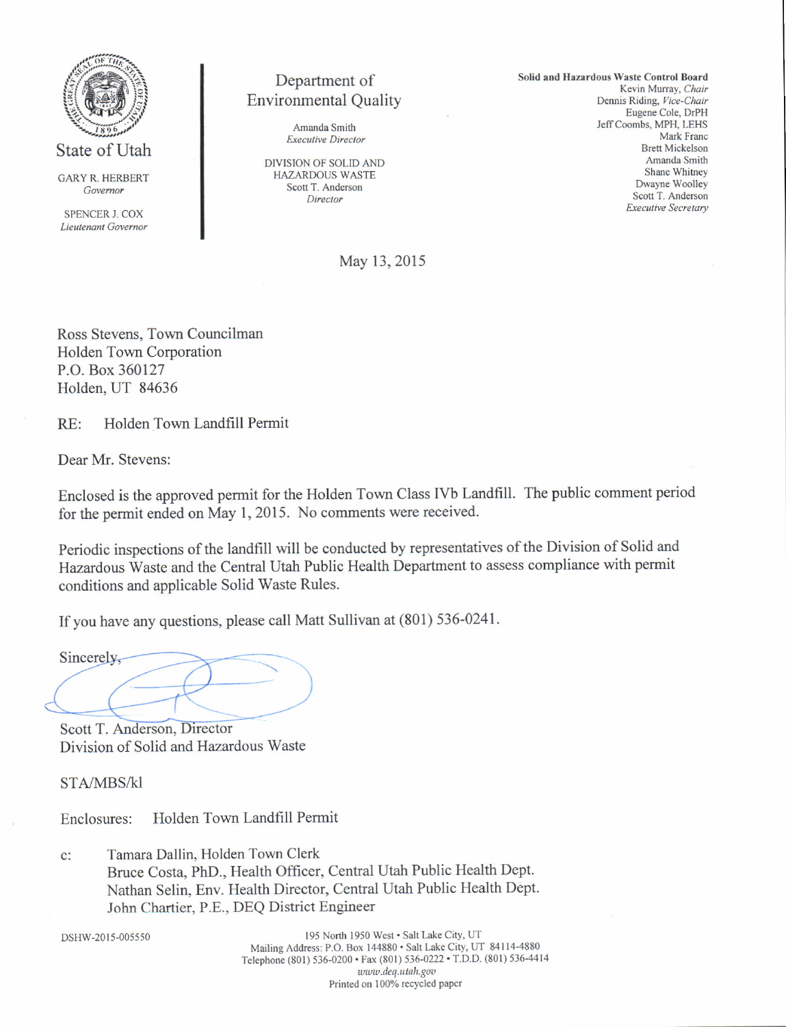

State of Utah

**GARY R. HERBERT** Governor

SPENCER J COX Lieutenant Governor

# Department of **Environmental Quality**

Amanda Smith **Executive Director** 

DIVISION OF SOLID AND **HAZARDOUS WASTE** Scott T. Anderson Director

Solid and Hazardous Waste Control Board Kevin Murray, Chair Dennis Riding, Vice-Chair Eugene Cole, DrPH Jeff Coombs, MPH, LEHS Mark Franc **Brett Mickelson** Amanda Smith Shane Whitney Dwayne Woolley Scott T. Anderson **Executive Secretary** 

May 13, 2015

Ross Stevens, Town Councilman Holden Town Corporation P.O. Box 360127 Holden, UT 84636

Holden Town Landfill Permit  $RE:$ 

Dear Mr. Stevens:

Enclosed is the approved permit for the Holden Town Class IVb Landfill. The public comment period for the permit ended on May 1, 2015. No comments were received.

Periodic inspections of the landfill will be conducted by representatives of the Division of Solid and Hazardous Waste and the Central Utah Public Health Department to assess compliance with permit conditions and applicable Solid Waste Rules.

If you have any questions, please call Matt Sullivan at (801) 536-0241.

Sincerely,

Scott T. Anderson, Director Division of Solid and Hazardous Waste

STA/MBS/kl

Holden Town Landfill Permit Enclosures:

Tamara Dallin, Holden Town Clerk  $C:$ Bruce Costa, PhD., Health Officer, Central Utah Public Health Dept. Nathan Selin, Env. Health Director, Central Utah Public Health Dept. John Chartier, P.E., DEQ District Engineer

DSHW-2015-005550

195 North 1950 West · Salt Lake City, UT Mailing Address: P.O. Box 144880 · Salt Lake City, UT 84114-4880 Telephone (801) 536-0200 · Fax (801) 536-0222 · T.D.D. (801) 536-4414 www.deq.utah.gov Printed on 100% recycled paper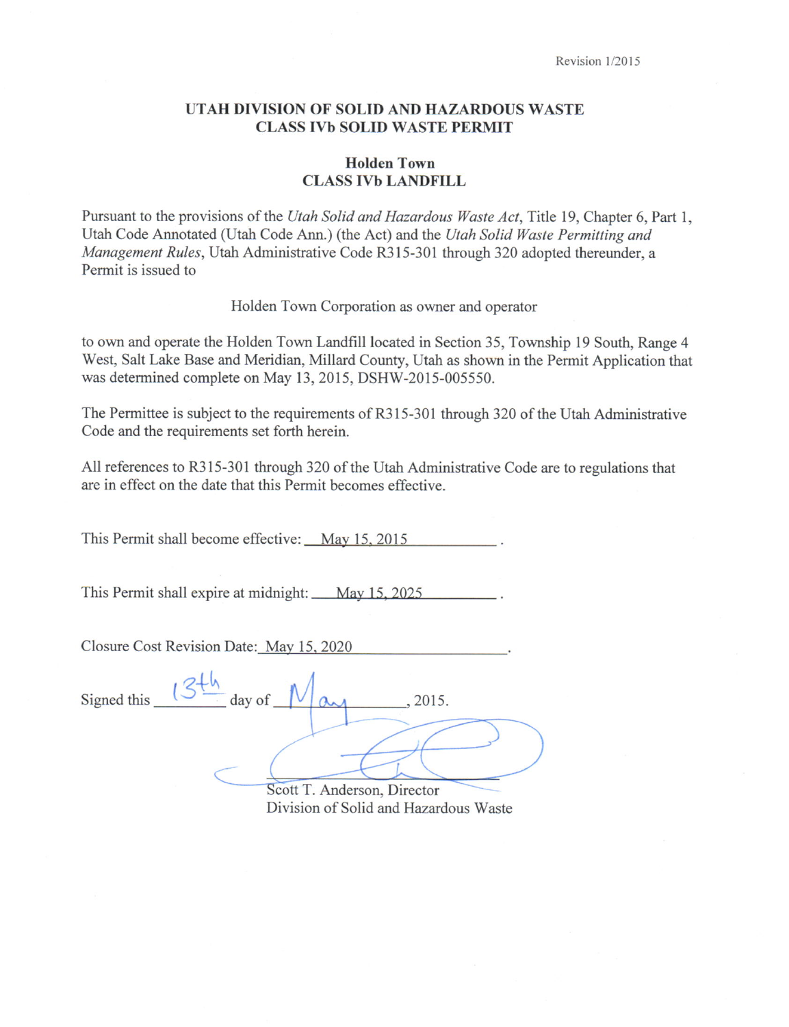# UTAH DIVISION OF SOLID AND HAZARDOUS WASTE CLASS IVb SOLID WASTE PERMIT

# Holden Town **CLASS IVb LANDFILL**

Pursuant to the provisions of the Utah Solid and Hazardous Waste Act, Title 19, Chapter 6, Part 1, Utah Code Annotated (Utah Code Ann.) (the Act) and the Utah Solid Waste Permitting and Management Rules, Utah Administrative Code R315-301 through 320 adopted thereunder, a Permit is issued to

Holden Town Corporation as owner and operator

to own and operate the Holden Town Landfrll located in Section 35, Township 19 South, Range 4 West, Salt Lake Base and Meridian, Millard County, Utah as shown in the Permit Application that was determined complete on May 13,2015, DSHW-2015-005550.

The Permittee is subject to the requirements of R315-301 through 320 of the Utah Administrative Code and the requirements set forth herein.

All references to R315-301 through 320 of the Utah Administrative Code are to regulations that are in effect on the date that this Permit becomes effective.

This Permit shall become effective: May 15, 2015

This Permit shall expire at midnight: May 15, 2025

Closure Cost Revision Date: Mav 15. 2020

| Signed this | $\overline{\phantom{a}}$ day of $\overline{\phantom{a}}$<br>2015.  |  |
|-------------|--------------------------------------------------------------------|--|
|             |                                                                    |  |
|             | Andorson Diroctor<br>$C_{\text{co}}$ <sup><math>+</math></sup> $T$ |  |

Scott T. Anderson, Director Division of Solid and Hazardous Waste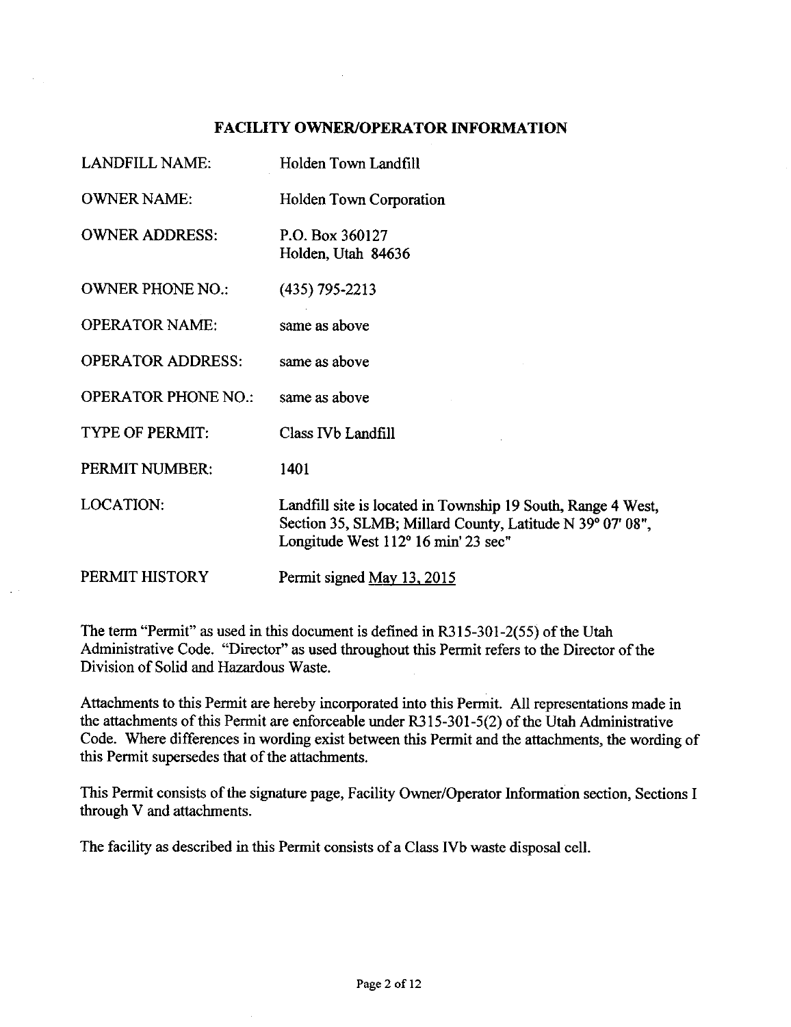# FACILITY OWNER/OPERATOR INFORMATION

| <b>LANDFILL NAME:</b>      | Holden Town Landfill                                                                                                                                             |
|----------------------------|------------------------------------------------------------------------------------------------------------------------------------------------------------------|
| <b>OWNER NAME:</b>         | <b>Holden Town Corporation</b>                                                                                                                                   |
| <b>OWNER ADDRESS:</b>      | P.O. Box 360127<br>Holden, Utah 84636                                                                                                                            |
| <b>OWNER PHONE NO.:</b>    | $(435)$ 795-2213                                                                                                                                                 |
| <b>OPERATOR NAME:</b>      | same as above                                                                                                                                                    |
| <b>OPERATOR ADDRESS:</b>   | same as above                                                                                                                                                    |
| <b>OPERATOR PHONE NO.:</b> | same as above                                                                                                                                                    |
| <b>TYPE OF PERMIT:</b>     | Class IVb Landfill                                                                                                                                               |
| PERMIT NUMBER:             | 1401                                                                                                                                                             |
| <b>LOCATION:</b>           | Landfill site is located in Township 19 South, Range 4 West,<br>Section 35, SLMB; Millard County, Latitude N 39° 07' 08",<br>Longitude West 112° 16 min' 23 sec" |
| PERMIT HISTORY             | Permit signed May 13, 2015                                                                                                                                       |

The term "Permit" as used in this document is defined in R3l5-301-2(55) of the Utah Administrative Code. "Director" as used throughout this Permit refers to the Director of the Division of Solid and Hazardous Waste.

Attachments to this Perrnit are hereby incorporated into this Permit. All representations made in the attachments of this Permit are enforceable under R315-301-5(2) of the Utah Administrative Code. Where differences in wording exist between this Permit and the attachments, the wording of this Permit supersedes that of the attachments.

This Permit consists of the signature page, Facility Owner/Operator Information section, Sections I through V and attachments.

The facility as described in this Permit consists of a Class IVb waste disposal cell.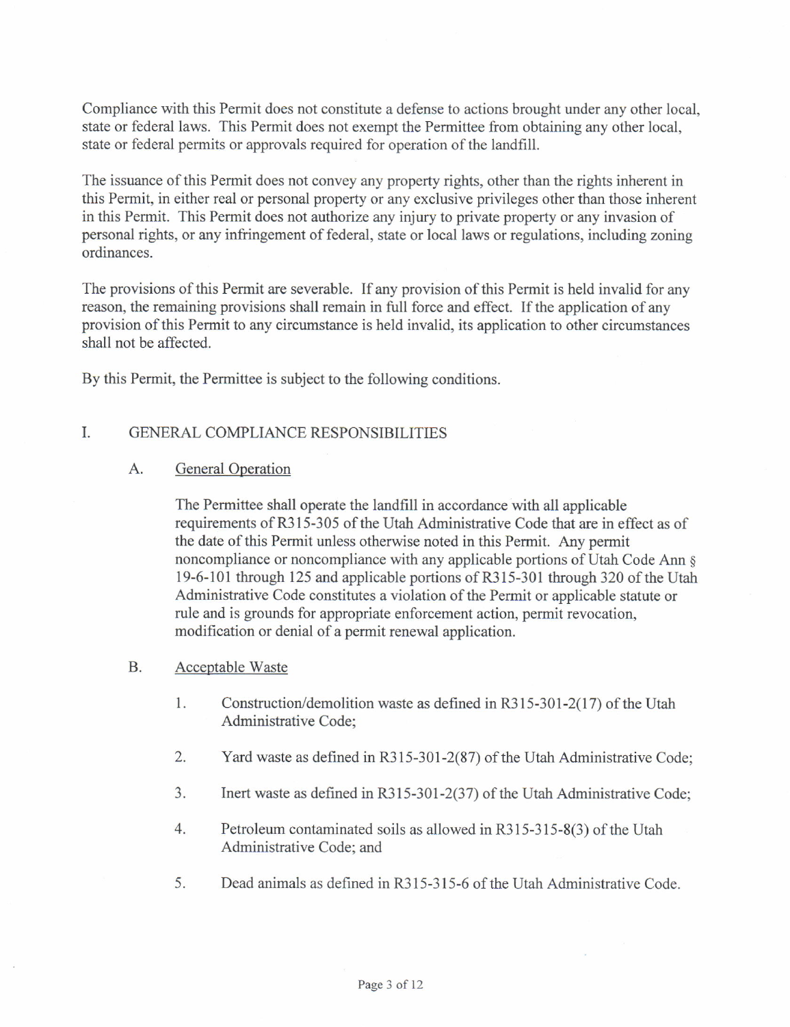Compliance with this Permit does not constitute a defense to actions brought under any other local, state or federal laws. This Permit does not exempt the Permittee from obtaining any other local, state or federal permits or approvals required for operation of the landfill.

The issuance of this Permit does not convey any property rights, other than the rights inherent in this Permit, in either real or personal property or any exclusive privileges other than those inherent in this Permit. This Permit does not authorize any injury to private property or any invasion of personal rights, or any infringement of federal, state or local laws or regulations, including zoning ordinances.

The provisions of this Permit are severable. If any provision of this Permit is held invalid for any reason, the remaining provisions shall remain in full force and effect. If the application of any provision ofthis Permit to any circumstance is held invalid, its application to other circumstances shall not be affected.

By this Permit, the Permittee is subject to the following conditions.

### I. GENERAL COMPLIANCE RESPONSIBILITIES

### $A_{\cdot}$ General Operation

The Permittee shall operate the landfill in accordance with all applicable requirements of R315-305 of the Utah Administrative Code that are in effect as of the date of this Permit unless otherwise noted in this Permit. Any permit noncompliance or noncompliance with any applicable portions of Utah Code Ann <sup>g</sup> 19-6-101 through 125 and applicable portions of R315-301 through 320 of the Utah Administrative Code constitutes a violation of the Permit or applicable statute or rule and is grounds for appropriate enforcement action, permit revocation, modification or denial of a permit renewal application.

### Acceptable Waste B.

- 1. Construction/demolition waste as defined in R315-301-2(17) of the Utah Administrative Code;
- 2. Yard waste as defined in R315-301-2(87) of the Utah Administrative Code;
- 3. Inert waste as defined in R315-301-2(37) of the Utah Administrative Code;
- 4. Petroleum contaminated soils as allowed in R315-315-8(3) of the Utah Administrative Code; and
- 5. Dead animals as defined in R315-315-6 of the Utah Administrative Code.